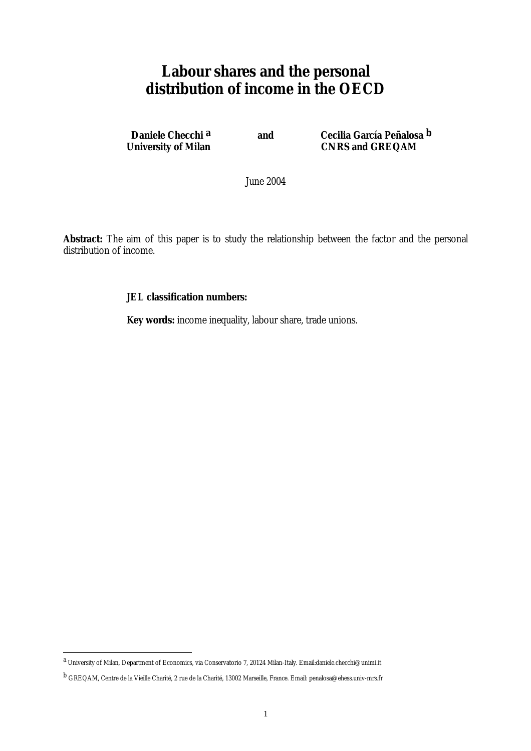# **Labour shares and the personal distribution of income in the OECD**

**Daniele Checchi <sup>a</sup> and Cecilia García Peñalosa <sup>b</sup><br>University of Milan and CNRS and GREQAM CNRS and GREQAM** 

June 2004

**Abstract:** The aim of this paper is to study the relationship between the factor and the personal distribution of income.

## **JEL classification numbers:**

**Key words:** income inequality, labour share, trade unions.

 $\overline{a}$ 

a University of Milan, Department of Economics, via Conservatorio 7, 20124 Milan-Italy. Email:daniele.checchi@unimi.it

b GREQAM, Centre de la Vieille Charité, 2 rue de la Charité, 13002 Marseille, France. Email: penalosa@ehess.univ-mrs.fr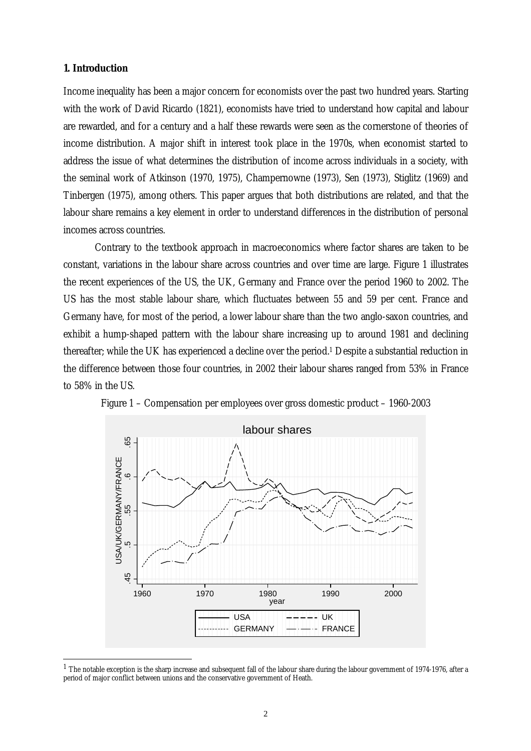# **1. Introduction**

 $\overline{a}$ 

Income inequality has been a major concern for economists over the past two hundred years. Starting with the work of David Ricardo (1821), economists have tried to understand how capital and labour are rewarded, and for a century and a half these rewards were seen as the cornerstone of theories of income distribution. A major shift in interest took place in the 1970s, when economist started to address the issue of what determines the distribution of income across individuals in a society, with the seminal work of Atkinson (1970, 1975), Champernowne (1973), Sen (1973), Stiglitz (1969) and Tinbergen (1975), among others. This paper argues that both distributions are related, and that the labour share remains a key element in order to understand differences in the distribution of personal incomes across countries.

 Contrary to the textbook approach in macroeconomics where factor shares are taken to be constant, variations in the labour share across countries and over time are large. Figure 1 illustrates the recent experiences of the US, the UK, Germany and France over the period 1960 to 2002. The US has the most stable labour share, which fluctuates between 55 and 59 per cent. France and Germany have, for most of the period, a lower labour share than the two anglo-saxon countries, and exhibit a hump-shaped pattern with the labour share increasing up to around 1981 and declining thereafter; while the UK has experienced a decline over the period.1 Despite a substantial reduction in the difference between those four countries, in 2002 their labour shares ranged from 53% in France to 58% in the US.





 $1$  The notable exception is the sharp increase and subsequent fall of the labour share during the labour government of 1974-1976, after a period of major conflict between unions and the conservative government of Heath.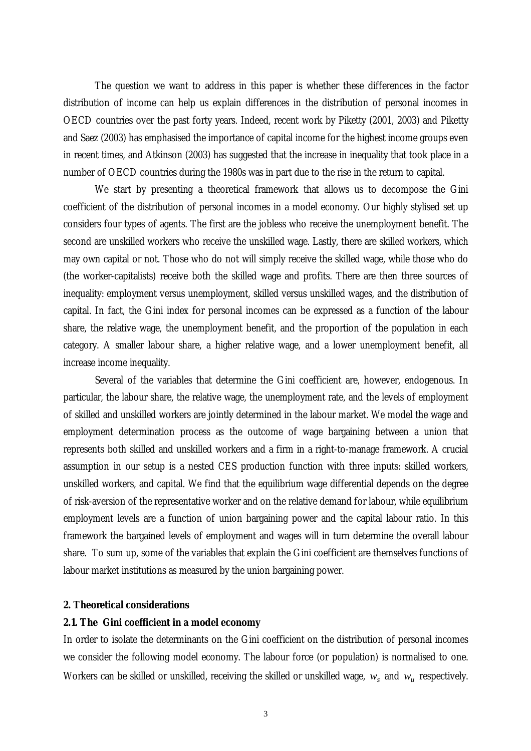The question we want to address in this paper is whether these differences in the factor distribution of income can help us explain differences in the distribution of personal incomes in OECD countries over the past forty years. Indeed, recent work by Piketty (2001, 2003) and Piketty and Saez (2003) has emphasised the importance of capital income for the highest income groups even in recent times, and Atkinson (2003) has suggested that the increase in inequality that took place in a number of OECD countries during the 1980s was in part due to the rise in the return to capital.

We start by presenting a theoretical framework that allows us to decompose the Gini coefficient of the distribution of personal incomes in a model economy. Our highly stylised set up considers four types of agents. The first are the jobless who receive the unemployment benefit. The second are unskilled workers who receive the unskilled wage. Lastly, there are skilled workers, which may own capital or not. Those who do not will simply receive the skilled wage, while those who do (the worker-capitalists) receive both the skilled wage and profits. There are then three sources of inequality: employment versus unemployment, skilled versus unskilled wages, and the distribution of capital. In fact, the Gini index for personal incomes can be expressed as a function of the labour share, the relative wage, the unemployment benefit, and the proportion of the population in each category. A smaller labour share, a higher relative wage, and a lower unemployment benefit, all increase income inequality.

 Several of the variables that determine the Gini coefficient are, however, endogenous. In particular, the labour share, the relative wage, the unemployment rate, and the levels of employment of skilled and unskilled workers are jointly determined in the labour market. We model the wage and employment determination process as the outcome of wage bargaining between a union that represents both skilled and unskilled workers and a firm in a right-to-manage framework. A crucial assumption in our setup is a nested CES production function with three inputs: skilled workers, unskilled workers, and capital. We find that the equilibrium wage differential depends on the degree of risk-aversion of the representative worker and on the relative demand for labour, while equilibrium employment levels are a function of union bargaining power and the capital labour ratio. In this framework the bargained levels of employment and wages will in turn determine the overall labour share. To sum up, some of the variables that explain the Gini coefficient are themselves functions of labour market institutions as measured by the union bargaining power.

#### **2. Theoretical considerations**

## **2.1. The Gini coefficient in a model economy**

In order to isolate the determinants on the Gini coefficient on the distribution of personal incomes we consider the following model economy. The labour force (or population) is normalised to one. Workers can be skilled or unskilled, receiving the skilled or unskilled wage,  $w_s$  and  $w_u$  respectively.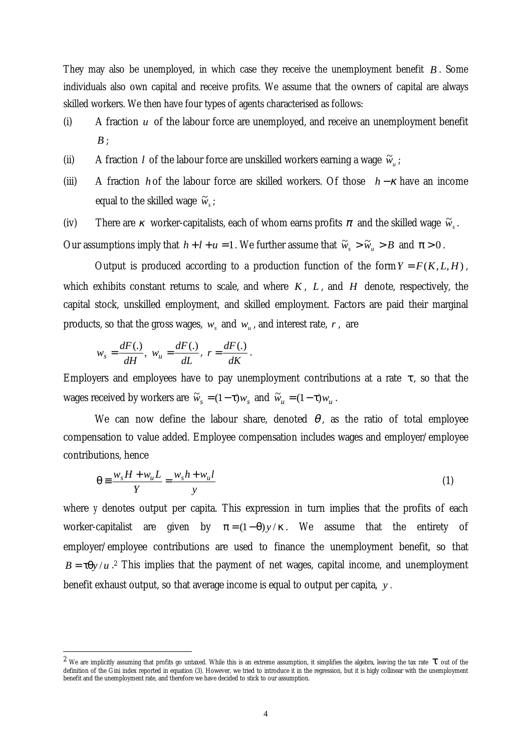They may also be unemployed, in which case they receive the unemployment benefit *B* . Some individuals also own capital and receive profits. We assume that the owners of capital are always skilled workers. We then have four types of agents characterised as follows:

- (i) A fraction *u* of the labour force are unemployed, and receive an unemployment benefit *B* ;
- (ii) A fraction *l* of the labour force are unskilled workers earning a wage  $\tilde{w}_u$ ;
- (iii) A fraction *h* of the labour force are skilled workers. Of those *h* −<sup>κ</sup> have an income equal to the skilled wage  $\widetilde{w}_s$ ;
- (iv) There are *κ* worker-capitalists, each of whom earns profits  $\pi$  and the skilled wage  $\tilde{w}_s$ .

Our assumptions imply that  $h + l + u = 1$ . We further assume that  $\tilde{w}_s > \tilde{w}_u > B$  and  $\pi > 0$ .

Output is produced according to a production function of the form  $Y = F(K, L, H)$ , which exhibits constant returns to scale, and where  $K$ ,  $L$ , and  $H$  denote, respectively, the capital stock, unskilled employment, and skilled employment. Factors are paid their marginal products, so that the gross wages,  $w_s$  and  $w_u$ , and interest rate,  $r$ , are

$$
w_s = \frac{dF(.)}{dH}
$$
,  $w_u = \frac{dF(.)}{dL}$ ,  $r = \frac{dF(.)}{dK}$ .

 $\overline{a}$ 

Employers and employees have to pay unemployment contributions at a rate  $\tau$ , so that the wages received by workers are  $\tilde{w}_s = (1 - \tau) w_s$  and  $\tilde{w}_u = (1 - \tau) w_u$ .

We can now define the labour share, denoted  $\theta$ , as the ratio of total employee compensation to value added. Employee compensation includes wages and employer/employee contributions, hence

$$
\theta \equiv \frac{w_s H + w_u L}{Y} = \frac{w_s h + w_u l}{y} \tag{1}
$$

where *y* denotes output per capita. This expression in turn implies that the profits of each worker-capitalist are given by  $\pi = (1 - \theta)y / \kappa$ . We assume that the entirety of employer/employee contributions are used to finance the unemployment benefit, so that  $B = \tau \theta y / u$ .<sup>2</sup> This implies that the payment of net wages, capital income, and unemployment benefit exhaust output, so that average income is equal to output per capita, *y .* 

<sup>&</sup>lt;sup>2</sup> We are implicitly assuming that profits go untaxed. While this is an extreme assumption, it simplifies the algebra, leaving the tax rate  $\tau$  out of the definition of the Gini index reported in equation (3). However, we tried to introduce it in the regression, but it is higly collinear with the unemployment benefit and the unemployment rate, and therefore we have decided to stick to our assumption.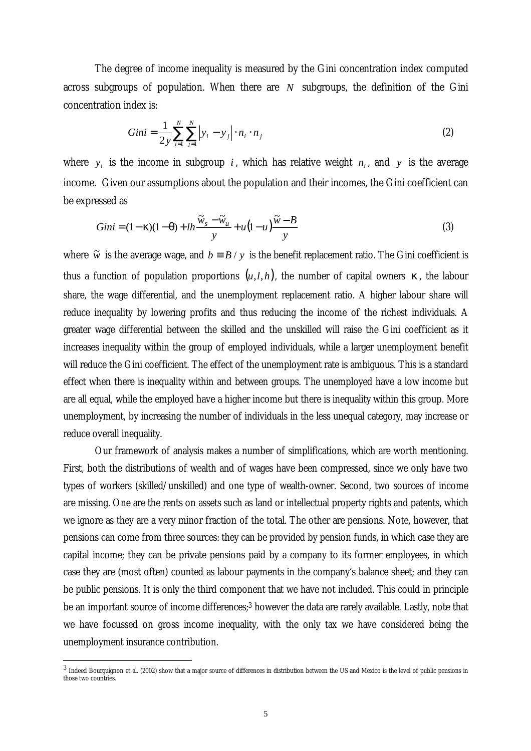The degree of income inequality is measured by the Gini concentration index computed across subgroups of population. When there are *N* subgroups, the definition of the Gini concentration index is:

$$
Gini = \frac{1}{2y} \sum_{i=1}^{N} \sum_{j=1}^{N} |y_i - y_j| \cdot n_i \cdot n_j
$$
 (2)

where  $y_i$  is the income in subgroup *i*, which has relative weight  $n_i$ , and  $y$  is the average income. Given our assumptions about the population and their incomes, the Gini coefficient can be expressed as

$$
Gini = (1 - \kappa)(1 - \theta) + lh \frac{\widetilde{w}_s - \widetilde{w}_u}{y} + u(1 - u) \frac{\widetilde{w} - B}{y}
$$
\n(3)

where  $\tilde{w}$  is the average wage, and  $b = B / y$  is the benefit replacement ratio. The Gini coefficient is thus a function of population proportions  $(u, l, h)$ , the number of capital owners  $\kappa$ , the labour share, the wage differential, and the unemployment replacement ratio. A higher labour share will reduce inequality by lowering profits and thus reducing the income of the richest individuals. A greater wage differential between the skilled and the unskilled will raise the Gini coefficient as it increases inequality within the group of employed individuals, while a larger unemployment benefit will reduce the Gini coefficient. The effect of the unemployment rate is ambiguous. This is a standard effect when there is inequality within and between groups. The unemployed have a low income but are all equal, while the employed have a higher income but there is inequality within this group. More unemployment, by increasing the number of individuals in the less unequal category, may increase or reduce overall inequality.

 Our framework of analysis makes a number of simplifications, which are worth mentioning. First, both the distributions of wealth and of wages have been compressed, since we only have two types of workers (skilled/unskilled) and one type of wealth-owner. Second, two sources of income are missing. One are the rents on assets such as land or intellectual property rights and patents, which we ignore as they are a very minor fraction of the total. The other are pensions. Note, however, that pensions can come from three sources: they can be provided by pension funds, in which case they are capital income; they can be private pensions paid by a company to its former employees, in which case they are (most often) counted as labour payments in the company's balance sheet; and they can be public pensions. It is only the third component that we have not included. This could in principle be an important source of income differences;<sup>3</sup> however the data are rarely available. Lastly, note that we have focussed on gross income inequality, with the only tax we have considered being the unemployment insurance contribution.

 $\overline{a}$ 

<sup>3</sup> Indeed Bourguignon et al. (2002) show that a major source of differences in distribution between the US and Mexico is the level of public pensions in those two countries.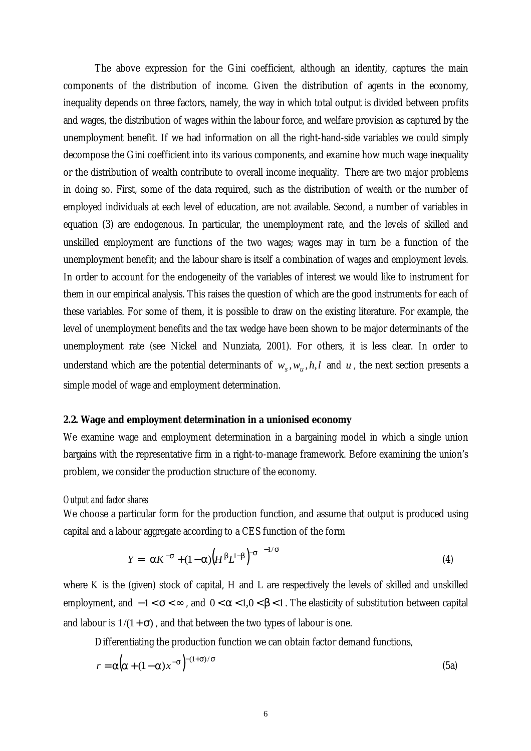The above expression for the Gini coefficient, although an identity, captures the main components of the distribution of income. Given the distribution of agents in the economy, inequality depends on three factors, namely, the way in which total output is divided between profits and wages, the distribution of wages within the labour force, and welfare provision as captured by the unemployment benefit. If we had information on all the right-hand-side variables we could simply decompose the Gini coefficient into its various components, and examine how much wage inequality or the distribution of wealth contribute to overall income inequality. There are two major problems in doing so. First, some of the data required, such as the distribution of wealth or the number of employed individuals at each level of education, are not available. Second, a number of variables in equation (3) are endogenous. In particular, the unemployment rate, and the levels of skilled and unskilled employment are functions of the two wages; wages may in turn be a function of the unemployment benefit; and the labour share is itself a combination of wages and employment levels. In order to account for the endogeneity of the variables of interest we would like to instrument for them in our empirical analysis. This raises the question of which are the good instruments for each of these variables. For some of them, it is possible to draw on the existing literature. For example, the level of unemployment benefits and the tax wedge have been shown to be major determinants of the unemployment rate (see Nickel and Nunziata, 2001). For others, it is less clear. In order to understand which are the potential determinants of  $w_s$ ,  $w_u$ ,  $h$ ,  $l$  and  $u$ , the next section presents a simple model of wage and employment determination.

#### **2.2. Wage and employment determination in a unionised economy**

We examine wage and employment determination in a bargaining model in which a single union bargains with the representative firm in a right-to-manage framework. Before examining the union's problem, we consider the production structure of the economy.

#### *Output and factor shares*

We choose a particular form for the production function, and assume that output is produced using capital and a labour aggregate according to a CES function of the form

$$
Y = \left[ \alpha K^{-\sigma} + (1 - \alpha) \left( H^{\beta} L^{1-\beta} \right)^{-\sigma} \right]^{-1/\sigma}
$$
 (4)

where K is the (given) stock of capital, H and L are respectively the levels of skilled and unskilled employment, and  $-1 < \sigma < \infty$ , and  $0 < \alpha < 1, 0 < \beta < 1$ . The elasticity of substitution between capital and labour is  $1/(1+\sigma)$ , and that between the two types of labour is one.

Differentiating the production function we can obtain factor demand functions,

$$
r = \alpha \Big( \alpha + (1 - \alpha) x^{-\sigma} \Big)^{-(1 + \sigma)/\sigma} \tag{5a}
$$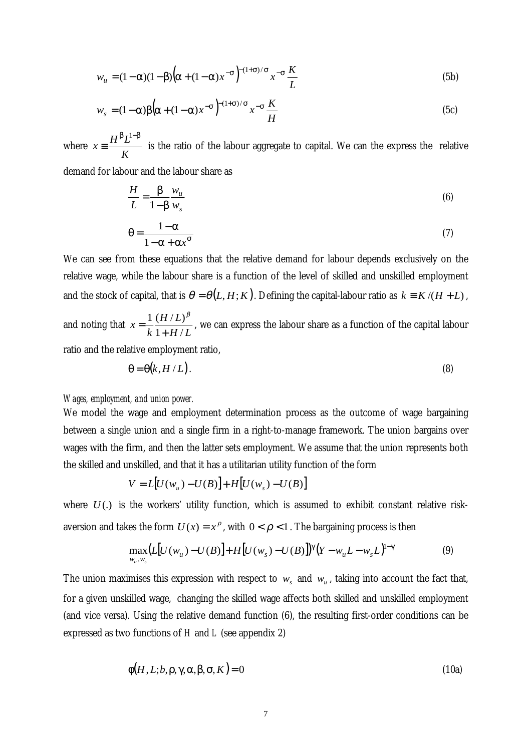$$
w_u = (1 - \alpha)(1 - \beta)\left(\alpha + (1 - \alpha)x^{-\sigma}\right)^{-(1 + \sigma)/\sigma} x^{-\sigma} \frac{K}{L}
$$
\n(5b)

$$
w_s = (1 - \alpha)\beta \left(\alpha + (1 - \alpha)x^{-\sigma}\right)^{-(1 + \sigma)/\sigma} x^{-\sigma} \frac{K}{H}
$$
\n(5c)

where *K*  $x \equiv \frac{H^{\beta}L}{L}$  $β$   $I^{-1-β}$ ≡ 1 is the ratio of the labour aggregate to capital. We can the express the relative

demand for labour and the labour share as

$$
\frac{H}{L} = \frac{\beta}{1 - \beta} \frac{w_u}{w_s} \tag{6}
$$

$$
\theta = \frac{1 - \alpha}{1 - \alpha + \alpha x^{\sigma}}
$$
 (7)

We can see from these equations that the relative demand for labour depends exclusively on the relative wage, while the labour share is a function of the level of skilled and unskilled employment and the stock of capital, that is  $\theta = \theta(L, H; K)$ . Defining the capital-labour ratio as  $k = K/(H + L)$ ,

and noting that  $x = \frac{1}{k} \frac{(H/L)}{1 + H/L}$ *H L k x*  $1 + H/$  $1 (H/L)$  $=\frac{1}{k}\frac{(H)}{1+}$ β , we can express the labour share as a function of the capital labour ratio and the relative employment ratio,

$$
\Theta = \Theta(k, H/L). \tag{8}
$$

#### *Wages, employment, and union power.*

We model the wage and employment determination process as the outcome of wage bargaining between a single union and a single firm in a right-to-manage framework. The union bargains over wages with the firm, and then the latter sets employment. We assume that the union represents both the skilled and unskilled, and that it has a utilitarian utility function of the form

$$
V = L[U(w_u) - U(B)] + H[U(w_s) - U(B)]
$$

where  $U(.)$  is the workers' utility function, which is assumed to exhibit constant relative riskaversion and takes the form  $U(x) = x^{\rho}$ , with  $0 < \rho < 1$ . The bargaining process is then

$$
\max_{w_u, w_s} (L[U(w_u) - U(B)] + H[U(w_s) - U(B)]^{\gamma} (Y - w_u L - w_s L)^{1 - \gamma}
$$
(9)

The union maximises this expression with respect to  $w_s$  and  $w_u$ , taking into account the fact that, for a given unskilled wage, changing the skilled wage affects both skilled and unskilled employment (and vice versa). Using the relative demand function (6), the resulting first-order conditions can be expressed as two functions of *H* and *L* (see appendix 2)

$$
\phi(H, L; b, \rho, \gamma, \alpha, \beta, \sigma, K) = 0 \tag{10a}
$$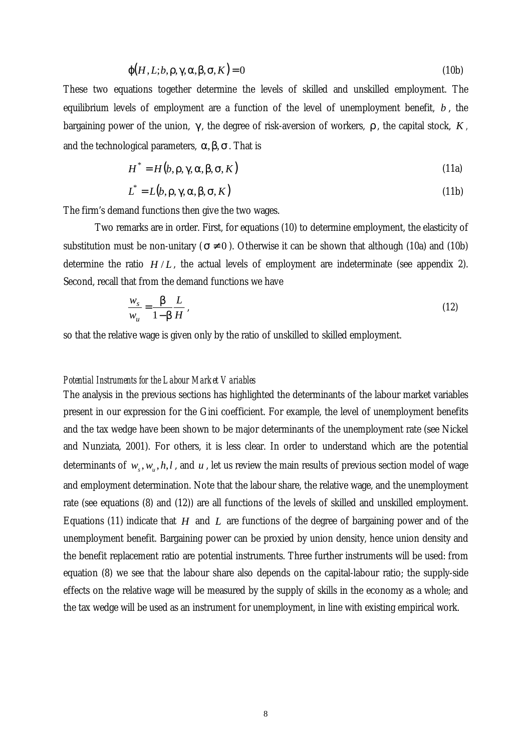$$
\varphi(H, L; b, \rho, \gamma, \alpha, \beta, \sigma, K) = 0 \tag{10b}
$$

These two equations together determine the levels of skilled and unskilled employment. The equilibrium levels of employment are a function of the level of unemployment benefit, *b* , the bargaining power of the union, γ , the degree of risk-aversion of workers, ρ , the capital stock, *K ,* and the technological parameters,  $\alpha, \beta, \sigma$ . That is

$$
H^* = H(b, \rho, \gamma, \alpha, \beta, \sigma, K) \tag{11a}
$$

$$
L^* = L(b, \rho, \gamma, \alpha, \beta, \sigma, K) \tag{11b}
$$

The firm's demand functions then give the two wages.

Two remarks are in order. First, for equations (10) to determine employment, the elasticity of substitution must be non-unitary ( $\sigma \neq 0$ ). Otherwise it can be shown that although (10a) and (10b) determine the ratio  $H/L$ , the actual levels of employment are indeterminate (see appendix 2). Second, recall that from the demand functions we have

$$
\frac{w_s}{w_u} = \frac{\beta}{1 - \beta} \frac{L}{H},\tag{12}
$$

so that the relative wage is given only by the ratio of unskilled to skilled employment.

## *Potential Instruments for the Labour Market Variables*

The analysis in the previous sections has highlighted the determinants of the labour market variables present in our expression for the Gini coefficient. For example, the level of unemployment benefits and the tax wedge have been shown to be major determinants of the unemployment rate (see Nickel and Nunziata, 2001). For others, it is less clear. In order to understand which are the potential determinants of  $w_s$ ,  $w_u$ ,  $h$ ,  $l$ , and  $u$ , let us review the main results of previous section model of wage and employment determination. Note that the labour share, the relative wage, and the unemployment rate (see equations (8) and (12)) are all functions of the levels of skilled and unskilled employment. Equations (11) indicate that *H* and *L* are functions of the degree of bargaining power and of the unemployment benefit. Bargaining power can be proxied by union density, hence union density and the benefit replacement ratio are potential instruments. Three further instruments will be used: from equation (8) we see that the labour share also depends on the capital-labour ratio; the supply-side effects on the relative wage will be measured by the supply of skills in the economy as a whole; and the tax wedge will be used as an instrument for unemployment, in line with existing empirical work.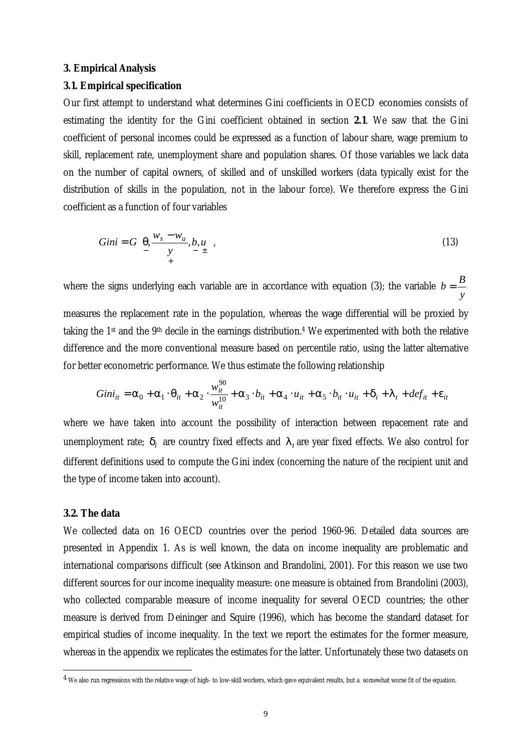#### **3. Empirical Analysis**

#### **3.1. Empirical specification**

Our first attempt to understand what determines Gini coefficients in OECD economies consists of estimating the identity for the Gini coefficient obtained in section **2.1**. We saw that the Gini coefficient of personal incomes could be expressed as a function of labour share, wage premium to skill, replacement rate, unemployment share and population shares. Of those variables we lack data on the number of capital owners, of skilled and of unskilled workers (data typically exist for the distribution of skills in the population, not in the labour force). We therefore express the Gini coefficient as a function of four variables

$$
Gini = G\left(\frac{\theta}{2}, \frac{w_s - w_u}{y}, b, u\right),\tag{13}
$$

where the signs underlying each variable are in accordance with equation (3); the variable *y*  $b = \frac{B}{A}$ measures the replacement rate in the population, whereas the wage differential will be proxied by taking the 1<sup>st</sup> and the 9<sup>th</sup> decile in the earnings distribution.<sup>4</sup> We experimented with both the relative difference and the more conventional measure based on percentile ratio, using the latter alternative for better econometric performance. We thus estimate the following relationship

$$
Gini_{it} = \alpha_0 + \alpha_1 \cdot \theta_{it} + \alpha_2 \cdot \frac{w_{it}^{90}}{w_{it}^{10}} + \alpha_3 \cdot b_{it} + \alpha_4 \cdot u_{it} + \alpha_5 \cdot b_{it} \cdot u_{it} + \delta_i + \lambda_t + def_{it} + \varepsilon_{it}
$$

where we have taken into account the possibility of interaction between repacement rate and unemployment rate;  $\delta_i$  are country fixed effects and  $\lambda_t$  are year fixed effects. We also control for different definitions used to compute the Gini index (concerning the nature of the recipient unit and the type of income taken into account).

#### **3.2. The data**

 $\overline{a}$ 

We collected data on 16 OECD countries over the period 1960-96. Detailed data sources are presented in Appendix 1. As is well known, the data on income inequality are problematic and international comparisons difficult (see Atkinson and Brandolini, 2001). For this reason we use two different sources for our income inequality measure: one measure is obtained from Brandolini (2003), who collected comparable measure of income inequality for several OECD countries; the other measure is derived from Deininger and Squire (1996), which has become the standard dataset for empirical studies of income inequality. In the text we report the estimates for the former measure, whereas in the appendix we replicates the estimates for the latter. Unfortunately these two datasets on

 $^4$  We also run regressions with the relative wage of high- to low-skill workers, which gave equivalent results, but a somewhat worse fit of the equation.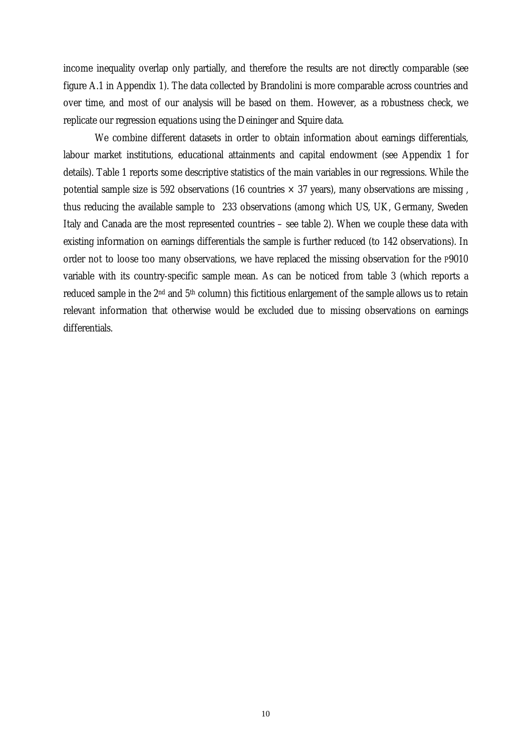income inequality overlap only partially, and therefore the results are not directly comparable (see figure A.1 in Appendix 1). The data collected by Brandolini is more comparable across countries and over time, and most of our analysis will be based on them. However, as a robustness check, we replicate our regression equations using the Deininger and Squire data.

We combine different datasets in order to obtain information about earnings differentials, labour market institutions, educational attainments and capital endowment (see Appendix 1 for details). Table 1 reports some descriptive statistics of the main variables in our regressions. While the potential sample size is 592 observations (16 countries  $\times$  37 years), many observations are missing, thus reducing the available sample to 233 observations (among which US, UK, Germany, Sweden Italy and Canada are the most represented countries – see table 2). When we couple these data with existing information on earnings differentials the sample is further reduced (to 142 observations). In order not to loose too many observations, we have replaced the missing observation for the P9010 variable with its country-specific sample mean. As can be noticed from table 3 (which reports a reduced sample in the 2nd and 5th column) this fictitious enlargement of the sample allows us to retain relevant information that otherwise would be excluded due to missing observations on earnings differentials.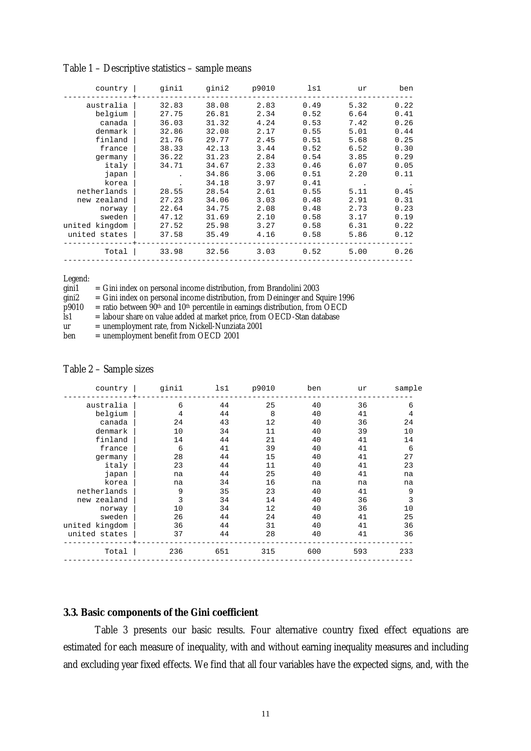| country        | qinil | gini2 | p9010 | ls1  | ur   | ben  |
|----------------|-------|-------|-------|------|------|------|
| australia      | 32.83 | 38.08 | 2.83  | 0.49 | 5.32 | 0.22 |
| belgium        | 27.75 | 26.81 | 2.34  | 0.52 | 6.64 | 0.41 |
| canada         | 36.03 | 31.32 | 4.24  | 0.53 | 7.42 | 0.26 |
| denmark        | 32.86 | 32.08 | 2.17  | 0.55 | 5.01 | 0.44 |
| finland        | 21.76 | 29.77 | 2.45  | 0.51 | 5.68 | 0.25 |
| france         | 38.33 | 42.13 | 3.44  | 0.52 | 6.52 | 0.30 |
| germany        | 36.22 | 31.23 | 2.84  | 0.54 | 3.85 | 0.29 |
| italy          | 34.71 | 34.67 | 2.33  | 0.46 | 6.07 | 0.05 |
| japan          |       | 34.86 | 3.06  | 0.51 | 2.20 | 0.11 |
| korea          |       | 34.18 | 3.97  | 0.41 |      |      |
| netherlands    | 28.55 | 28.54 | 2.61  | 0.55 | 5.11 | 0.45 |
| new zealand    | 27.23 | 34.06 | 3.03  | 0.48 | 2.91 | 0.31 |
| norway         | 22.64 | 34.75 | 2.08  | 0.48 | 2.73 | 0.23 |
| sweden         | 47.12 | 31.69 | 2.10  | 0.58 | 3.17 | 0.19 |
| united kingdom | 27.52 | 25.98 | 3.27  | 0.58 | 6.31 | 0.22 |
| united states  | 37.58 | 35.49 | 4.16  | 0.58 | 5.86 | 0.12 |
| Total          | 33.98 | 32.56 | 3.03  | 0.52 | 5.00 | 0.26 |

Table 1 – Descriptive statistics – sample means

Legend:

| gini1 | $=$ Gini index on personal income distribution, from Brandolini 2003        |
|-------|-----------------------------------------------------------------------------|
| sini? | $\sim$ Cipi index on personal income distribution, from Deininger and Cause |

gini2 = Gini index on personal income distribution, from Deininger and Squire 1996

 $\overrightarrow{p}$ 9010 = ratio between  $\overrightarrow{9}0$ <sup>th</sup> and 10<sup>th</sup> percentile in earnings distribution, from OECD<br>
ls1 = labour share on value added at market price, from OECD-Stan database

 $\hat{I}$ s1 = labour share on value added at market price, from OECD-Stan database<br>ur = unemployment rate, from Nickell-Nunziata 2001

- ur = unemployment rate, from Nickell-Nunziata 2001
- $=$  unemployment benefit from OECD 2001

#### Table 2 – Sample sizes

| country        | ginil | ls1 | p9010 | ben | ur  | sample |
|----------------|-------|-----|-------|-----|-----|--------|
| australia      | 6     | 44  | 25    | 40  | 36  | 6      |
| belgium        | 4     | 44  | 8     | 40  | 41  | 4      |
| canada         | 24    | 43  | 12    | 40  | 36  | 24     |
| denmark        | 10    | 34  | 11    | 40  | 39  | 10     |
| finland        | 14    | 44  | 21    | 40  | 41  | 14     |
| france         | 6     | 41  | 39    | 40  | 41  | 6      |
| germany        | 28    | 44  | 15    | 40  | 41  | 27     |
| italy          | 23    | 44  | 11    | 40  | 41  | 23     |
| japan          | na    | 44  | 25    | 40  | 41  | na     |
| korea          | na    | 34  | 16    | na  | na  | na     |
| netherlands    | 9     | 35  | 23    | 40  | 41  | 9      |
| new zealand    | 3     | 34  | 14    | 40  | 36  | 3      |
| norway         | 10    | 34  | 12    | 40  | 36  | 10     |
| sweden         | 26    | 44  | 24    | 40  | 41  | 25     |
| united kingdom | 36    | 44  | 31    | 40  | 41  | 36     |
| united states  | 37    | 44  | 28    | 40  | 41  | 36     |
| Total          | 236   | 651 | 315   | 600 | 593 | 233    |

# **3.3. Basic components of the Gini coefficient**

Table 3 presents our basic results. Four alternative country fixed effect equations are estimated for each measure of inequality, with and without earning inequality measures and including and excluding year fixed effects. We find that all four variables have the expected signs, and, with the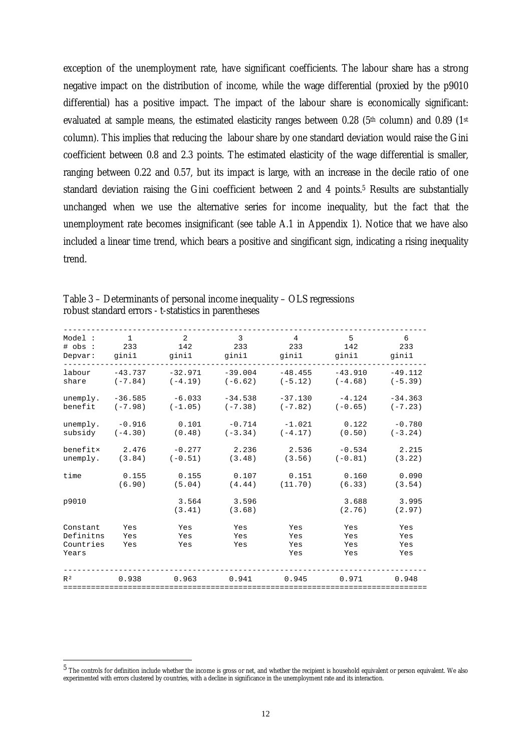exception of the unemployment rate, have significant coefficients. The labour share has a strong negative impact on the distribution of income, while the wage differential (proxied by the p9010 differential) has a positive impact. The impact of the labour share is economically significant: evaluated at sample means, the estimated elasticity ranges between 0.28 (5<sup>th</sup> column) and 0.89 (1<sup>st</sup>) column). This implies that reducing the labour share by one standard deviation would raise the Gini coefficient between 0.8 and 2.3 points. The estimated elasticity of the wage differential is smaller, ranging between 0.22 and 0.57, but its impact is large, with an increase in the decile ratio of one standard deviation raising the Gini coefficient between 2 and 4 points.<sup>5</sup> Results are substantially unchanged when we use the alternative series for income inequality, but the fact that the unemployment rate becomes insignificant (see table A.1 in Appendix 1). Notice that we have also included a linear time trend, which bears a positive and singificant sign, indicating a rising inequality trend.

| Model:                                      | $\mathbf{1}$      | $\overline{2}$    | $\overline{3}$    | $\overline{4}$           | 5                        | 6                        |
|---------------------------------------------|-------------------|-------------------|-------------------|--------------------------|--------------------------|--------------------------|
| # obs :                                     | 233               | 142               | 233               | 233                      | 142                      | 233                      |
| Depvar:                                     | ginil             | ginil             | ginil             | ginil                    | ginil                    | ginil                    |
| labour                                      | $-43.737$         | $-32.971$         | $-39.004$         | $-48.455$                | $-43.910$                | $-49.112$                |
| share                                       | $(-7.84)$         | $(-4.19)$         | $(-6.62)$         | $(-5.12)$                | $(-4.68)$                | $(-5.39)$                |
| unemply.                                    | $-36.585$         | $-6.033$          | $-34.538$         | $-37.130$                | $-4.124$                 | $-34.363$                |
| benefit                                     | $(-7, 98)$        | $(-1.05)$         | $(-7.38)$         | $(-7.82)$                | $(-0.65)$                | $(-7.23)$                |
| unemply.                                    | $-0.916$          | 0.101             | $-0.714$          | $-1.021$                 | 0.122                    | $-0.780$                 |
| subsidy                                     | $(-4.30)$         | (0.48)            | $(-3.34)$         | $(-4.17)$                | (0.50)                   | $(-3.24)$                |
| benefitx                                    | 2.476             | $-0.277$          | 2.236             | 2.536                    | $-0.534$                 | 2.215                    |
| unemply.                                    | (3.84)            | $(-0.51)$         | (3.48)            | (3.56)                   | $(-0.81)$                | (3.22)                   |
| time                                        | 0.155             | 0.155             | 0.107             | 0.151                    | 0.160                    | 0.090                    |
|                                             | (6.90)            | (5.04)            | (4.44)            | (11.70)                  | (6.33)                   | (3.54)                   |
| p9010                                       |                   | 3.564<br>(3.41)   | 3.596<br>(3.68)   |                          | 3.688<br>(2.76)          | 3.995<br>(2.97)          |
| Constant<br>Definitns<br>Countries<br>Years | Yes<br>Yes<br>Yes | Yes<br>Yes<br>Yes | Yes<br>Yes<br>Yes | Yes<br>Yes<br>Yes<br>Yes | Yes<br>Yes<br>Yes<br>Yes | Yes<br>Yes<br>Yes<br>Yes |
| R <sup>2</sup>                              | 0.938             | 0.963             | 0.941             | 0.945                    | 0.971                    | 0.948                    |

Table 3 – Determinants of personal income inequality – OLS regressions robust standard errors - t-statistics in parentheses

 $\overline{a}$ 

<sup>5</sup> The controls for definition include whether the income is gross or net, and whether the recipient is household equivalent or person equivalent. We also experimented with errors clustered by countries, with a decline in significance in the unemployment rate and its interaction.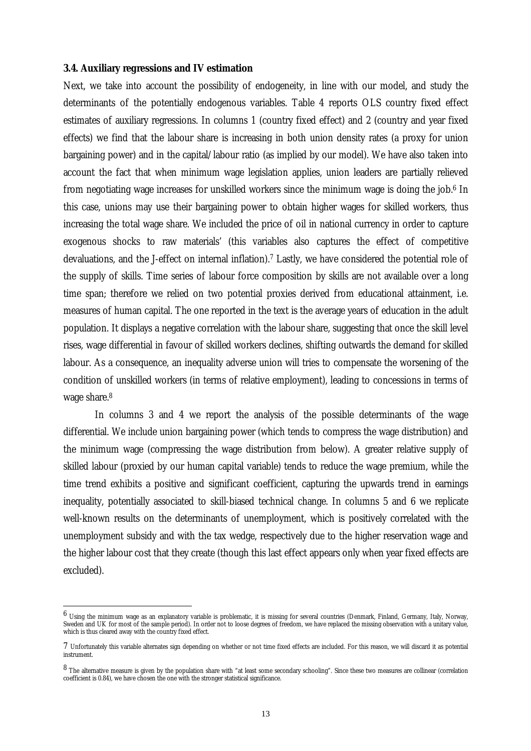#### **3.4. Auxiliary regressions and IV estimation**

 $\overline{a}$ 

Next, we take into account the possibility of endogeneity, in line with our model, and study the determinants of the potentially endogenous variables. Table 4 reports OLS country fixed effect estimates of auxiliary regressions. In columns 1 (country fixed effect) and 2 (country and year fixed effects) we find that the labour share is increasing in both union density rates (a proxy for union bargaining power) and in the capital/labour ratio (as implied by our model). We have also taken into account the fact that when minimum wage legislation applies, union leaders are partially relieved from negotiating wage increases for unskilled workers since the minimum wage is doing the job.6 In this case, unions may use their bargaining power to obtain higher wages for skilled workers, thus increasing the total wage share. We included the price of oil in national currency in order to capture exogenous shocks to raw materials' (this variables also captures the effect of competitive devaluations, and the J-effect on internal inflation).7 Lastly, we have considered the potential role of the supply of skills. Time series of labour force composition by skills are not available over a long time span; therefore we relied on two potential proxies derived from educational attainment, i.e. measures of human capital. The one reported in the text is the average years of education in the adult population. It displays a negative correlation with the labour share, suggesting that once the skill level rises, wage differential in favour of skilled workers declines, shifting outwards the demand for skilled labour. As a consequence, an inequality adverse union will tries to compensate the worsening of the condition of unskilled workers (in terms of relative employment), leading to concessions in terms of wage share.8

In columns 3 and 4 we report the analysis of the possible determinants of the wage differential. We include union bargaining power (which tends to compress the wage distribution) and the minimum wage (compressing the wage distribution from below). A greater relative supply of skilled labour (proxied by our human capital variable) tends to reduce the wage premium, while the time trend exhibits a positive and significant coefficient, capturing the upwards trend in earnings inequality, potentially associated to skill-biased technical change. In columns 5 and 6 we replicate well-known results on the determinants of unemployment, which is positively correlated with the unemployment subsidy and with the tax wedge, respectively due to the higher reservation wage and the higher labour cost that they create (though this last effect appears only when year fixed effects are excluded).

 $^6$  Using the minimum wage as an explanatory variable is problematic, it is missing for several countries (Denmark, Finland, Germany, Italy, Norway, Sweden and UK for most of the sample period). In order not to loose degrees of freedom, we have replaced the missing observation with a unitary value, which is thus cleared away with the country fixed effect.

<sup>7</sup> Unfortunately this variable alternates sign depending on whether or not time fixed effects are included. For this reason, we will discard it as potential instrument.

<sup>8</sup> The alternative measure is given by the population share with "at least some secondary schooling". Since these two measures are collinear (correlation coefficient is 0.84), we have chosen the one with the stronger statistical significance.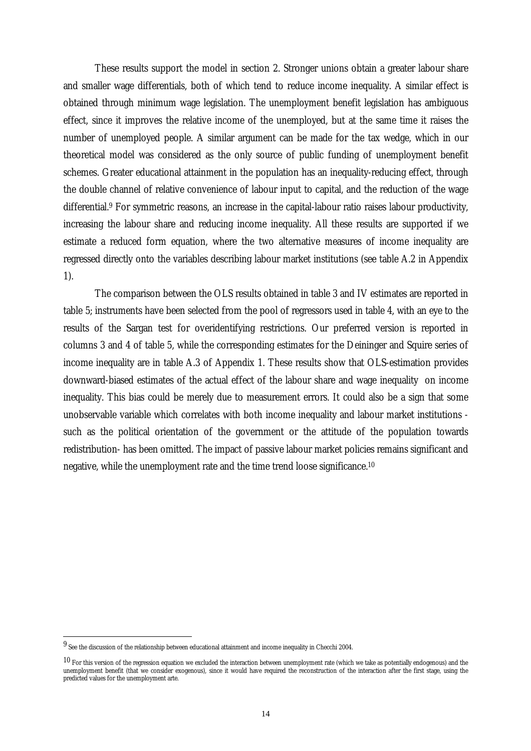These results support the model in section 2. Stronger unions obtain a greater labour share and smaller wage differentials, both of which tend to reduce income inequality. A similar effect is obtained through minimum wage legislation. The unemployment benefit legislation has ambiguous effect, since it improves the relative income of the unemployed, but at the same time it raises the number of unemployed people. A similar argument can be made for the tax wedge, which in our theoretical model was considered as the only source of public funding of unemployment benefit schemes. Greater educational attainment in the population has an inequality-reducing effect, through the double channel of relative convenience of labour input to capital, and the reduction of the wage differential.9 For symmetric reasons, an increase in the capital-labour ratio raises labour productivity, increasing the labour share and reducing income inequality. All these results are supported if we estimate a reduced form equation, where the two alternative measures of income inequality are regressed directly onto the variables describing labour market institutions (see table A.2 in Appendix 1).

The comparison between the OLS results obtained in table 3 and IV estimates are reported in table 5; instruments have been selected from the pool of regressors used in table 4, with an eye to the results of the Sargan test for overidentifying restrictions. Our preferred version is reported in columns 3 and 4 of table 5, while the corresponding estimates for the Deininger and Squire series of income inequality are in table A.3 of Appendix 1. These results show that OLS-estimation provides downward-biased estimates of the actual effect of the labour share and wage inequality on income inequality. This bias could be merely due to measurement errors. It could also be a sign that some unobservable variable which correlates with both income inequality and labour market institutions such as the political orientation of the government or the attitude of the population towards redistribution- has been omitted. The impact of passive labour market policies remains significant and negative, while the unemployment rate and the time trend loose significance.10

 $\overline{a}$ 

<sup>9</sup> See the discussion of the relationship between educational attainment and income inequality in Checchi 2004.

 $10$  For this version of the regression equation we excluded the interaction between unemployment rate (which we take as potentially endogenous) and the unemployment benefit (that we consider exogenous), since it would have required the reconstruction of the interaction after the first stage, using the predicted values for the unemployment arte.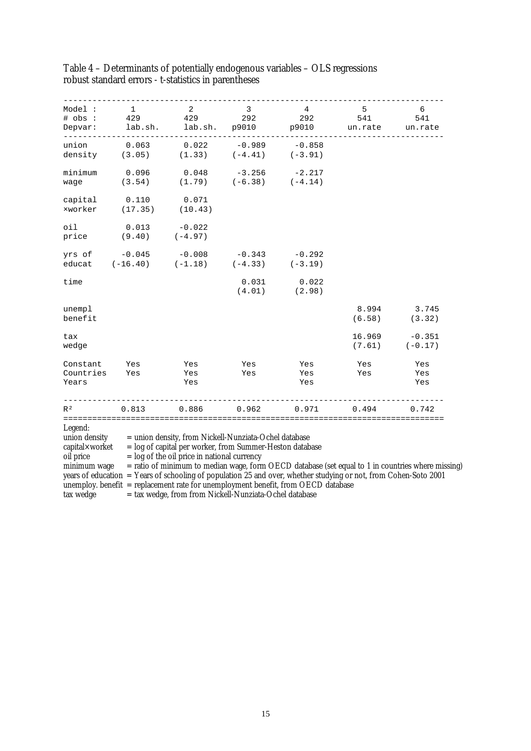| Model :<br># obs :<br>Depvar:<br>---------- | $\mathbf{1}$<br>429<br>lab.sh.<br>.                                                                                                              | 2<br>429<br>lab.sh.                           | 3<br>292<br>p9010                                 | 4<br>292<br>p9010<br>$- - - - - - - -$                                                                                                                                                                                                                                                                       | 5<br>541<br>un.rate | 6<br>541<br>un.rate   |
|---------------------------------------------|--------------------------------------------------------------------------------------------------------------------------------------------------|-----------------------------------------------|---------------------------------------------------|--------------------------------------------------------------------------------------------------------------------------------------------------------------------------------------------------------------------------------------------------------------------------------------------------------------|---------------------|-----------------------|
| union<br>density                            | 0.063<br>(3.05)                                                                                                                                  | 0.022<br>(1.33)                               | $-0.989$<br>$(-4.41)$                             | $-0.858$<br>$(-3.91)$                                                                                                                                                                                                                                                                                        |                     |                       |
| minimum<br>wage                             | 0.096<br>(3.54)                                                                                                                                  | 0.048                                         | $-3.256$ $-2.217$<br>$(1.79)$ $(-6.38)$ $(-4.14)$ |                                                                                                                                                                                                                                                                                                              |                     |                       |
| capital<br>xworker                          | 0.110<br>(17.35)                                                                                                                                 | 0.071<br>(10.43)                              |                                                   |                                                                                                                                                                                                                                                                                                              |                     |                       |
| oil<br>price                                | 0.013<br>(9.40)                                                                                                                                  | $-0.022$<br>$(-4.97)$                         |                                                   |                                                                                                                                                                                                                                                                                                              |                     |                       |
| yrs of                                      | yrs of $-0.045$ $-0.008$<br>educat $(-16.40)$ $(-1.18)$                                                                                          | $-0.008$                                      | $-0.343$<br>$(-4.33)$                             | $-0.292$<br>$(-3.19)$                                                                                                                                                                                                                                                                                        |                     |                       |
| time                                        |                                                                                                                                                  |                                               | 0.031<br>(4.01)                                   | 0.022<br>(2.98)                                                                                                                                                                                                                                                                                              |                     |                       |
| unempl<br>benefit                           |                                                                                                                                                  |                                               |                                                   |                                                                                                                                                                                                                                                                                                              | 8.994<br>(6.58)     | 3.745<br>(3.32)       |
| tax<br>wedge                                |                                                                                                                                                  |                                               |                                                   |                                                                                                                                                                                                                                                                                                              | 16.969<br>(7.61)    | $-0.351$<br>$(-0.17)$ |
| Constant<br>Countries<br>Years              | Yes<br>Yes                                                                                                                                       | Yes<br>Yes<br>Yes                             | Yes<br>Yes                                        | Yes<br>Yes<br>Yes                                                                                                                                                                                                                                                                                            | Yes<br>Yes          | Yes<br>Yes<br>Yes     |
| R <sup>2</sup>                              | 0.813                                                                                                                                            | 0.886                                         | 0.962                                             | 0.971                                                                                                                                                                                                                                                                                                        | 0.494               | 0.742                 |
| Legend:<br>oil price<br>minimum wage        | union density = union density, from Nickell-Nunziata-Ochel database<br>capital×worket = $log$ of capital per worker, from Summer-Heston database | $=$ log of the oil price in national currency |                                                   | = ratio of minimum to median wage, form OECD database (set equal to 1 in countries where missing)<br>years of education = Years of schooling of population 25 and over, whether studying or not, from Cohen-Soto 2001<br>unemploy. benefit $=$ replacement rate for unemployment benefit, from OECD database |                     |                       |

# Table 4 – Determinants of potentially endogenous variables – OLS regressions robust standard errors - t-statistics in parentheses

tax wedge = tax wedge, from from Nickell-Nunziata-Ochel database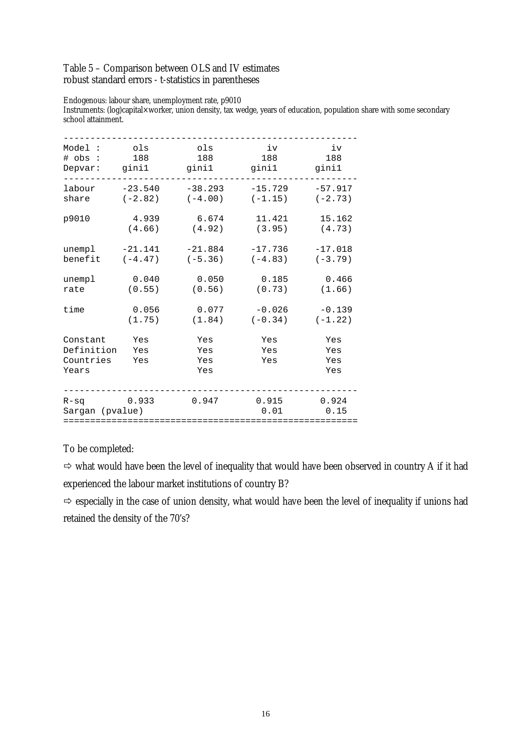## Table 5 – Comparison between OLS and IV estimates robust standard errors - t-statistics in parentheses

Endogenous: labour share, unemployment rate, p9010

Instruments: (log)capital×worker, union density, tax wedge, years of education, population share with some secondary school attainment.

| Model:                                       | ols               | ols                      | iv                | iv                       |
|----------------------------------------------|-------------------|--------------------------|-------------------|--------------------------|
| # obs :                                      | 188               | 188                      | 188               | 188                      |
| Depvar:                                      | gini1             | gini1                    | gini1             | gini1                    |
| labour                                       | $-23.540$         | $-38.293$                | $-15.729$         | $-57.917$                |
| share                                        | $(-2.82)$         | $(-4.00)$                | $(-1.15)$         | $(-2.73)$                |
| p9010                                        | 4.939             | 6.674                    | 11.421            | 15.162                   |
|                                              | (4.66)            | (4.92)                   | (3.95)            | (4.73)                   |
| unempl                                       | $-21.141$         | $-21.884$                | $-17.736$         | $-17.018$                |
| benefit                                      | $(-4.47)$         | $(-5.36)$                | $(-4.83)$         | $(-3.79)$                |
| unempl                                       | 0.040             | 0.050                    | 0.185             | 0.466                    |
| rate                                         | (0.55)            | (0.56)                   | (0.73)            | (1.66)                   |
| time                                         | 0.056             | 0.077                    | $-0.026$          | $-0.139$                 |
|                                              | (1.75)            | (1.84)                   | $(-0.34)$         | $(-1.22)$                |
| Constant<br>Definition<br>Countries<br>Years | Yes<br>Yes<br>Yes | Yes<br>Yes<br>Yes<br>Yes | Yes<br>Yes<br>Yes | Yes<br>Yes<br>Yes<br>Yes |
| $R-Sq$<br>Sargan (pvalue)                    | 0.933             | 0.947                    | 0.915<br>0.01     | 0.924<br>0.15            |

# To be completed:

 $\Rightarrow$  what would have been the level of inequality that would have been observed in country A if it had experienced the labour market institutions of country B?

 $\Rightarrow$  especially in the case of union density, what would have been the level of inequality if unions had retained the density of the 70's?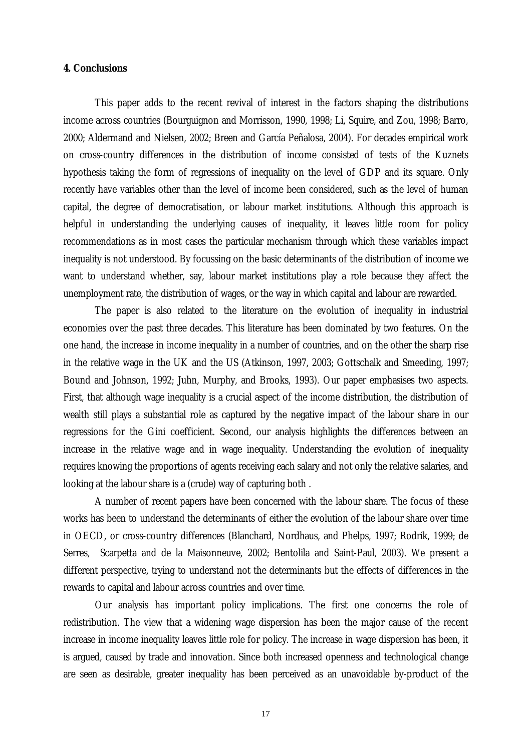# **4. Conclusions**

 This paper adds to the recent revival of interest in the factors shaping the distributions income across countries (Bourguignon and Morrisson, 1990, 1998; Li, Squire, and Zou, 1998; Barro, 2000; Aldermand and Nielsen, 2002; Breen and García Peñalosa, 2004). For decades empirical work on cross-country differences in the distribution of income consisted of tests of the Kuznets hypothesis taking the form of regressions of inequality on the level of GDP and its square. Only recently have variables other than the level of income been considered, such as the level of human capital, the degree of democratisation, or labour market institutions. Although this approach is helpful in understanding the underlying causes of inequality, it leaves little room for policy recommendations as in most cases the particular mechanism through which these variables impact inequality is not understood. By focussing on the basic determinants of the distribution of income we want to understand whether, say, labour market institutions play a role because they affect the unemployment rate, the distribution of wages, or the way in which capital and labour are rewarded.

 The paper is also related to the literature on the evolution of inequality in industrial economies over the past three decades. This literature has been dominated by two features. On the one hand, the increase in income inequality in a number of countries, and on the other the sharp rise in the relative wage in the UK and the US (Atkinson, 1997, 2003; Gottschalk and Smeeding, 1997; Bound and Johnson, 1992; Juhn, Murphy, and Brooks, 1993). Our paper emphasises two aspects. First, that although wage inequality is a crucial aspect of the income distribution, the distribution of wealth still plays a substantial role as captured by the negative impact of the labour share in our regressions for the Gini coefficient. Second, our analysis highlights the differences between an increase in the relative wage and in wage inequality. Understanding the evolution of inequality requires knowing the proportions of agents receiving each salary and not only the relative salaries, and looking at the labour share is a (crude) way of capturing both .

 A number of recent papers have been concerned with the labour share. The focus of these works has been to understand the determinants of either the evolution of the labour share over time in OECD, or cross-country differences (Blanchard, Nordhaus, and Phelps, 1997; Rodrik, 1999; de Serres, Scarpetta and de la Maisonneuve, 2002; Bentolila and Saint-Paul, 2003). We present a different perspective, trying to understand not the determinants but the effects of differences in the rewards to capital and labour across countries and over time.

Our analysis has important policy implications. The first one concerns the role of redistribution. The view that a widening wage dispersion has been the major cause of the recent increase in income inequality leaves little role for policy. The increase in wage dispersion has been, it is argued, caused by trade and innovation. Since both increased openness and technological change are seen as desirable, greater inequality has been perceived as an unavoidable by-product of the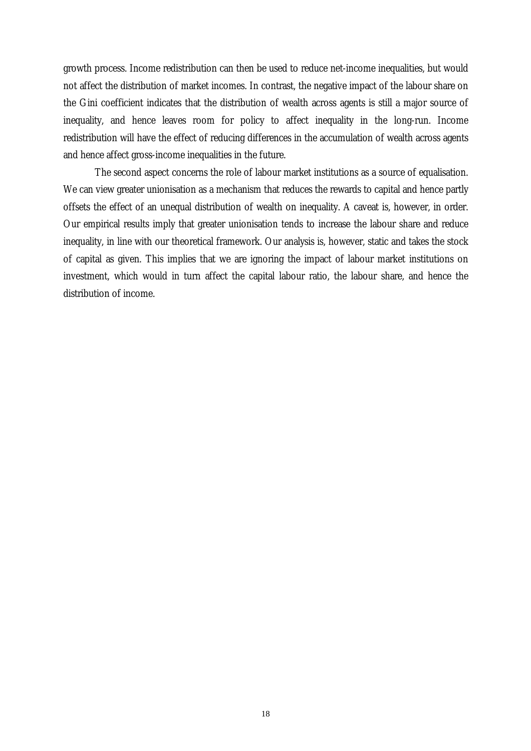growth process. Income redistribution can then be used to reduce net-income inequalities, but would not affect the distribution of market incomes. In contrast, the negative impact of the labour share on the Gini coefficient indicates that the distribution of wealth across agents is still a major source of inequality, and hence leaves room for policy to affect inequality in the long-run. Income redistribution will have the effect of reducing differences in the accumulation of wealth across agents and hence affect gross-income inequalities in the future.

The second aspect concerns the role of labour market institutions as a source of equalisation. We can view greater unionisation as a mechanism that reduces the rewards to capital and hence partly offsets the effect of an unequal distribution of wealth on inequality. A caveat is, however, in order. Our empirical results imply that greater unionisation tends to increase the labour share and reduce inequality, in line with our theoretical framework. Our analysis is, however, static and takes the stock of capital as given. This implies that we are ignoring the impact of labour market institutions on investment, which would in turn affect the capital labour ratio, the labour share, and hence the distribution of income.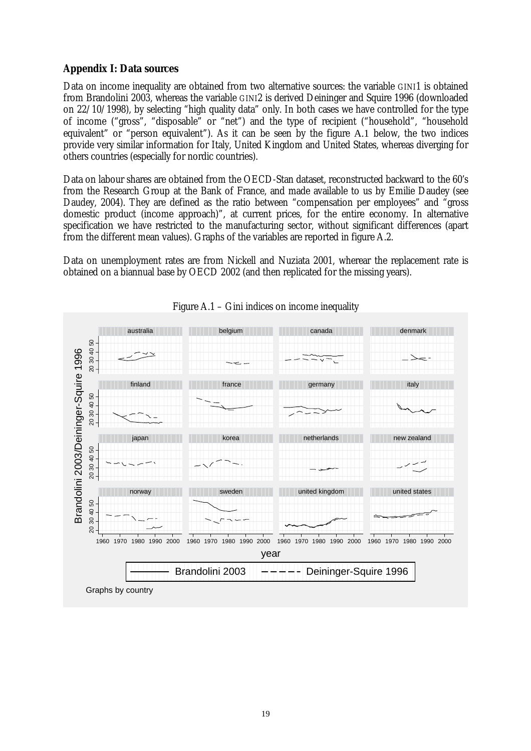# **Appendix I: Data sources**

Data on income inequality are obtained from two alternative sources: the variable GINI1 is obtained from Brandolini 2003, whereas the variable GINI2 is derived Deininger and Squire 1996 (downloaded on 22/10/1998), by selecting "high quality data" only. In both cases we have controlled for the type of income ("gross", "disposable" or "net") and the type of recipient ("household", "household equivalent" or "person equivalent"). As it can be seen by the figure A.1 below, the two indices provide very similar information for Italy, United Kingdom and United States, whereas diverging for others countries (especially for nordic countries).

Data on labour shares are obtained from the OECD-Stan dataset, reconstructed backward to the 60's from the Research Group at the Bank of France, and made available to us by Emilie Daudey (see Daudey, 2004). They are defined as the ratio between "compensation per employees" and "gross domestic product (income approach)", at current prices, for the entire economy. In alternative specification we have restricted to the manufacturing sector, without significant differences (apart from the different mean values). Graphs of the variables are reported in figure A.2.

Data on unemployment rates are from Nickell and Nuziata 2001, wherear the replacement rate is obtained on a biannual base by OECD 2002 (and then replicated for the missing years).



# Figure A.1 – Gini indices on income inequality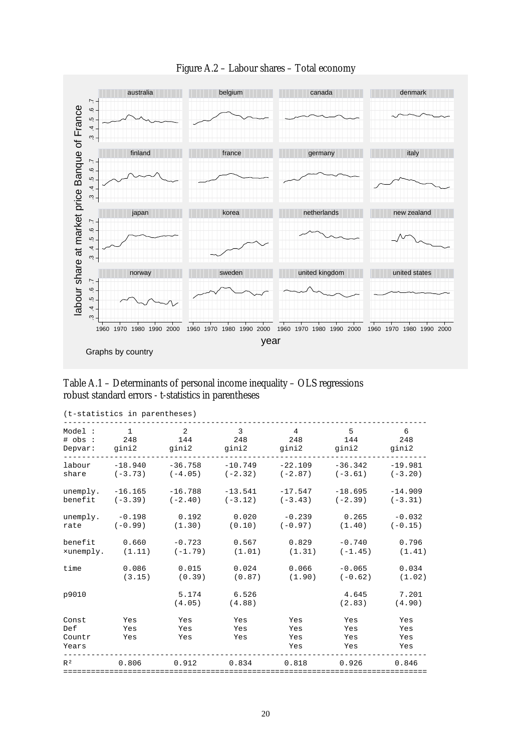

# Figure A.2 – Labour shares – Total economy

## Table A.1 – Determinants of personal income inequality – OLS regressions robust standard errors - t-statistics in parentheses

|                                 | (t-statistics in parentheses) |                   |                   |                          |                          |                          |
|---------------------------------|-------------------------------|-------------------|-------------------|--------------------------|--------------------------|--------------------------|
| Model:                          | $\mathbf{1}$                  | $\overline{2}$    | 3                 | $\overline{4}$           | 5                        | 6                        |
| # obs :                         | 248                           | 144               | 248               | 248                      | 144                      | 248                      |
| Depvar:                         | gini2                         | gini2             | gini2             | gini2                    | gini2                    | gini2                    |
| labour                          | $-18.940$                     | $-36.758$         | $-10.749$         | $-22.109$                | $-36.342$                | $-19.981$                |
| share                           | $(-3.73)$                     | $(-4.05)$         | $(-2.32)$         | $(-2.87)$                | $(-3.61)$                | $(-3.20)$                |
| unemply.                        | $-16.165$                     | $-16.788$         | $-13.541$         | $-17.547$                | $-18.695$                | $-14.909$                |
| benefit                         | $(-3.39)$                     | $(-2.40)$         | $(-3.12)$         | $(-3.43)$                | $(-2.39)$                | $(-3.31)$                |
| unemply.                        | $-0.198$                      | 0.192             | 0.020             | $-0.239$                 | 0.265                    | $-0.032$                 |
| rate                            | $(-0.99)$                     | (1.30)            | (0.10)            | $(-0.97)$                | (1.40)                   | $(-0.15)$                |
| benefit                         | 0.660                         | $-0.723$          | 0.567             | 0.829                    | $-0.740$                 | 0.796                    |
| xunemply.                       | (1.11)                        | $(-1.79)$         | (1.01)            | (1.31)                   | $(-1.45)$                | (1.41)                   |
| time                            | 0.086                         | 0.015             | 0.024             | 0.066                    | $-0.065$                 | 0.034                    |
|                                 | (3.15)                        | (0.39)            | (0.87)            | (1.90)                   | $(-0.62)$                | (1.02)                   |
| p9010                           |                               | 5.174<br>(4.05)   | 6.526<br>(4.88)   |                          | 4.645<br>(2.83)          | 7.201<br>(4.90)          |
| Const<br>Def<br>Countr<br>Years | Yes<br>Yes<br>Yes             | Yes<br>Yes<br>Yes | Yes<br>Yes<br>Yes | Yes<br>Yes<br>Yes<br>Yes | Yes<br>Yes<br>Yes<br>Yes | Yes<br>Yes<br>Yes<br>Yes |
| R <sup>2</sup>                  | 0.806                         | 0.912             | 0.834             | 0.818                    | 0.926                    | 0.846                    |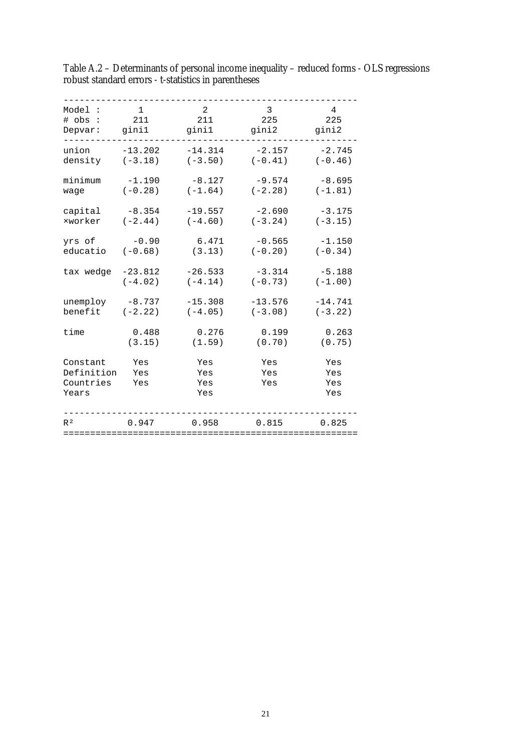| Model:                                       | $\mathbf{1}$      | 2                        | 3                 | $\overline{4}$           |
|----------------------------------------------|-------------------|--------------------------|-------------------|--------------------------|
| $#$ obs :                                    | 211               | 211                      | 225               | 225                      |
| Depvar:                                      | ginil             | ginil                    | gini2             | gini2                    |
| union                                        | $-13.202$         | $-14.314$                | $-2.157$          | $-2.745$                 |
| density                                      | $(-3.18)$         | $(-3.50)$                | $(-0.41)$         | $(-0.46)$                |
| minimum                                      | $-1.190$          | $-8.127$                 | $-9.574$          | $-8.695$                 |
| waqe                                         | $(-0.28)$         | $(-1.64)$                | $(-2.28)$         | $(-1.81)$                |
| capital                                      | $-8.354$          | $-19.557$                | $-2.690$          | $-3.175$                 |
| xworker                                      | $(-2.44)$         | $(-4.60)$                | $(-3.24)$         | $(-3.15)$                |
| yrs of                                       | $-0.90$           | 6.471                    | $-0.565$          | $-1.150$                 |
| educatio                                     | $(-0.68)$         | (3.13)                   | $(-0.20)$         | $(-0.34)$                |
| tax wedge                                    | $-23.812$         | $-26.533$                | $-3.314$          | $-5.188$                 |
|                                              | $(-4.02)$         | $(-4.14)$                | $(-0.73)$         | $(-1.00)$                |
| unemploy                                     | $-8.737$          | $-15.308$                | $-13.576$         | $-14.741$                |
| benefit                                      | $(-2.22)$         | $(-4.05)$                | $(-3.08)$         | $(-3.22)$                |
| time                                         | 0.488             | 0.276                    | 0.199             | 0.263                    |
|                                              | (3.15)            | (1.59)                   | (0.70)            | (0.75)                   |
| Constant<br>Definition<br>Countries<br>Years | Yes<br>Yes<br>Yes | Yes<br>Yes<br>Yes<br>Yes | Yes<br>Yes<br>Yes | Yes<br>Yes<br>Yes<br>Yes |
| R <sup>2</sup>                               | 0.947             | 0.958                    | 0.815             | 0.825                    |

Table A.2 – Determinants of personal income inequality – reduced forms - OLS regressions robust standard errors - t-statistics in parentheses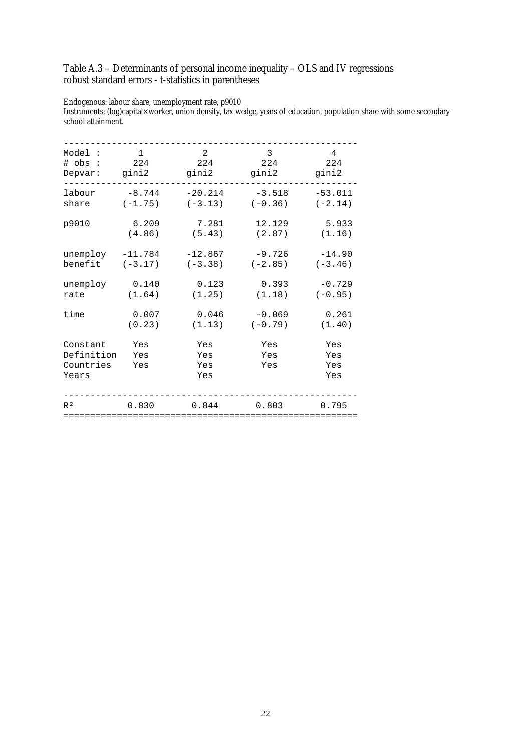# Table A.3 – Determinants of personal income inequality – OLS and IV regressions robust standard errors - t-statistics in parentheses

Endogenous: labour share, unemployment rate, p9010

Instruments: (log)capital×worker, union density, tax wedge, years of education, population share with some secondary school attainment.

| Model:                                       | $\mathbf{1}$      | 2                        | 3                 | 4                        |
|----------------------------------------------|-------------------|--------------------------|-------------------|--------------------------|
| $#$ obs :                                    | 224               | 224                      | 224               | 224                      |
| Depvar:                                      | gini2             | gini2                    | gini2             | gini2                    |
| labour                                       | $-8.744$          | $-20.214$                | $-3.518$          | $-53.011$                |
| share                                        | $(-1.75)$         | $(-3.13)$                | $(-0.36)$         | $(-2.14)$                |
| p9010                                        | 6.209             | 7.281                    | 12.129            | 5.933                    |
|                                              | (4.86)            | (5.43)                   | (2.87)            | (1.16)                   |
| unemploy                                     | $-11.784$         | $-12.867$                | $-9.726$          | $-14.90$                 |
| benefit                                      | $(-3.17)$         | $(-3.38)$                | $(-2.85)$         | $(-3.46)$                |
| unemploy                                     | 0.140             | 0.123                    | 0.393             | $-0.729$                 |
| rate                                         | (1.64)            | (1.25)                   | (1.18)            | $(-0.95)$                |
| time                                         | 0.007             | 0.046                    | $-0.069$          | 0.261                    |
|                                              | (0.23)            | (1.13)                   | $(-0.79)$         | (1.40)                   |
| Constant<br>Definition<br>Countries<br>Years | Yes<br>Yes<br>Yes | Yes<br>Yes<br>Yes<br>Yes | Yes<br>Yes<br>Yes | Yes<br>Yes<br>Yes<br>Yes |
| R <sup>2</sup>                               | 0.830             | 0.844                    | 0.803             | 0.795                    |
|                                              |                   |                          |                   |                          |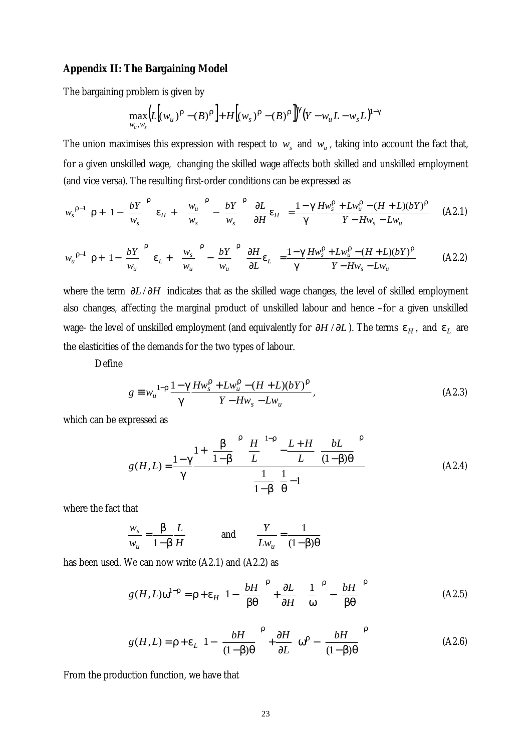# **Appendix II: The Bargaining Model**

The bargaining problem is given by

$$
\max_{w_u, w_s} \Bigl( L \Bigl( (w_u)^{\rho} - (B)^{\rho} \Bigr) + H \Bigl( (w_s)^{\rho} - (B)^{\rho} \Bigr)^{\gamma} \Bigl( Y - w_u L - w_s L \Bigr)^{1 - \gamma}
$$

The union maximises this expression with respect to  $w_s$  and  $w_u$ , taking into account the fact that, for a given unskilled wage, changing the skilled wage affects both skilled and unskilled employment (and vice versa). The resulting first-order conditions can be expressed as

$$
w_s^{\rho-1} \left[ \rho + \left( 1 - \left( \frac{bY}{w_s} \right)^{\rho} \right) \varepsilon_H + \left( \left( \frac{w_u}{w_s} \right)^{\rho} - \left( \frac{bY}{w_s} \right)^{\rho} \right) \frac{\partial L}{\partial H} \varepsilon_H \right] = \frac{1 - \gamma}{\gamma} \frac{H w_s^{\rho} + L w_u^{\rho} - (H + L)(bY)^{\rho}}{Y - H w_s - L w_u} \tag{A2.1}
$$

$$
w_u^{\rho-1} \left[ \rho + \left( 1 - \left( \frac{bY}{w_u} \right)^{\rho} \right) \varepsilon_L + \left( \left( \frac{w_s}{w_u} \right)^{\rho} - \left( \frac{bY}{w_u} \right)^{\rho} \right) \frac{\partial H}{\partial L} \varepsilon_L \right] = \frac{1 - \gamma}{\gamma} \frac{H w_s^{\rho} + L w_u^{\rho} - (H + L)(bY)^{\rho}}{Y - H w_s - L w_u}
$$
(A2.2)

where the term  $\partial L / \partial H$  indicates that as the skilled wage changes, the level of skilled employment also changes, affecting the marginal product of unskilled labour and hence –for a given unskilled wage- the level of unskilled employment (and equivalently for  $\partial H / \partial L$ ). The terms  $\varepsilon_H$ , and  $\varepsilon_L$  are the elasticities of the demands for the two types of labour.

Define

$$
g \equiv w_u^{1-\rho} \frac{1-\gamma}{\gamma} \frac{H w_s^{\rho} + L w_u^{\rho} - (H+L)(bY)^{\rho}}{Y - H w_s - L w_u},
$$
 (A2.3)

which can be expressed as

$$
g(H,L) = \frac{1-\gamma}{\gamma} \frac{1+\left(\frac{\beta}{1-\beta}\right)^{\beta} \left(\frac{H}{L}\right)^{1-\rho} - \frac{L+H}{L} \left(\frac{bL}{(1-\beta)\theta}\right)^{\beta}}{1-\beta \left(\frac{1}{\theta}-1\right)}
$$
(A2.4)

where the fact that

$$
\frac{w_s}{w_u} = \frac{\beta}{1 - \beta} \frac{L}{H}
$$
 and 
$$
\frac{Y}{L w_u} = \frac{1}{(1 - \beta)\theta}
$$

has been used. We can now write (A2.1) and (A2.2) as

$$
g(H, L)\omega^{1-p} = \rho + \varepsilon_H \left( 1 - \left( \frac{bH}{\beta \theta} \right)^{\rho} + \frac{\partial L}{\partial H} \left( \left( \frac{1}{\omega} \right)^{\rho} - \left( \frac{bH}{\beta \theta} \right)^{\rho} \right) \right)
$$
(A2.5)

$$
g(H,L) = \rho + \varepsilon_L \left( 1 - \left( \frac{bH}{(1-\beta)\theta} \right)^{\rho} + \frac{\partial H}{\partial L} \left( \omega^{\rho} - \left( \frac{bH}{(1-\beta)\theta} \right)^{\rho} \right) \right)
$$
(A2.6)

From the production function, we have that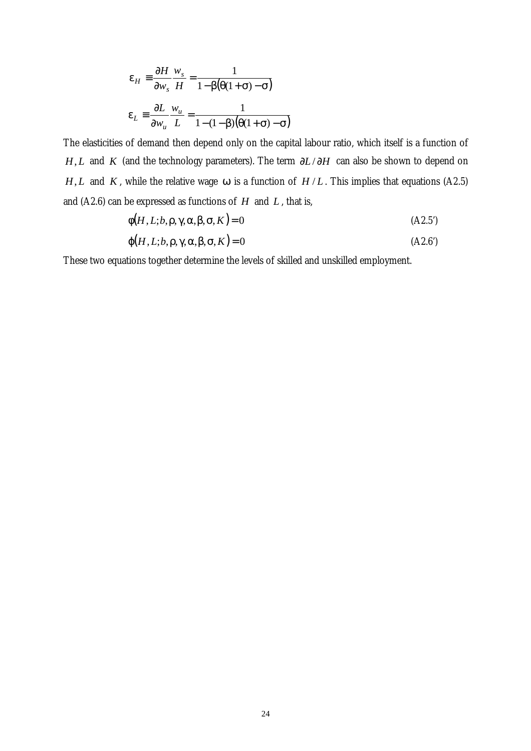$$
\varepsilon_H \equiv \frac{\partial H}{\partial w_s} \frac{w_s}{H} = \frac{1}{1 - \beta(\theta(1 + \sigma) - \sigma)}
$$

$$
\varepsilon_L \equiv \frac{\partial L}{\partial w_u} \frac{w_u}{L} = \frac{1}{1 - (1 - \beta)(\theta(1 + \sigma) - \sigma)}
$$

The elasticities of demand then depend only on the capital labour ratio, which itself is a function of *H*, *L* and *K* (and the technology parameters). The term  $\partial L / \partial H$  can also be shown to depend on *H*, *L* and *K*, while the relative wage  $\omega$  is a function of *H* / *L*. This implies that equations (A2.5) and (A2.6) can be expressed as functions of *H* and *L* , that is,

$$
\phi(H, L; b, \rho, \gamma, \alpha, \beta, \sigma, K) = 0
$$
\n
$$
(A2.5')
$$

$$
\varphi(H, L; b, \rho, \gamma, \alpha, \beta, \sigma, K) = 0
$$
\n(A2.6)

These two equations together determine the levels of skilled and unskilled employment.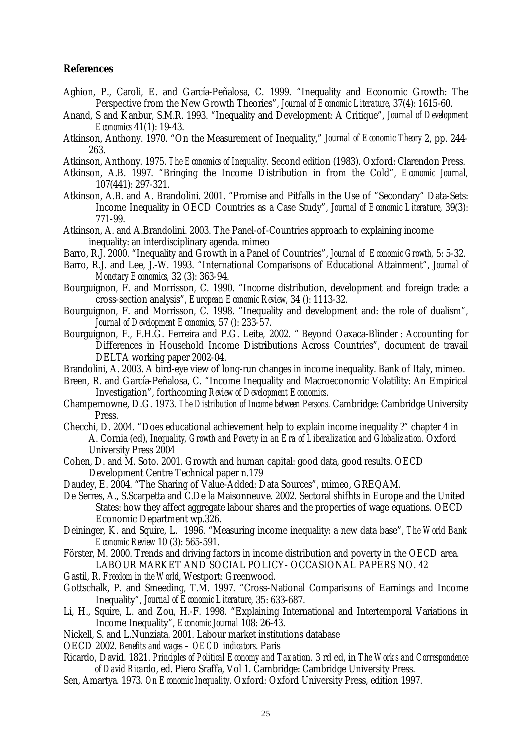## **References**

- Aghion, P., Caroli, E. and García-Peñalosa, C. 1999. "Inequality and Economic Growth: The Perspective from the New Growth Theories", *Journal of Economic Literature*, 37(4): 1615-60.
- Anand, S and Kanbur, S.M.R. 1993. "Inequality and Development: A Critique", *Journal of Development Economics* 41(1): 19-43.
- Atkinson, Anthony. 1970. "On the Measurement of Inequality," *Journal of Economic Theory* 2, pp. 244- 263.
- Atkinson, Anthony. 1975. *The Economics of Inequality*. Second edition (1983). Oxford: Clarendon Press.
- Atkinson, A.B. 1997. "Bringing the Income Distribution in from the Cold", *Economic Journal,* 107(441): 297-321.
- Atkinson, A.B. and A. Brandolini. 2001. "Promise and Pitfalls in the Use of "Secondary" Data-Sets: Income Inequality in OECD Countries as a Case Study", *Journal of Economic Literature*, 39(3): 771-99.
- Atkinson, A. and A.Brandolini. 2003. The Panel-of-Countries approach to explaining income inequality: an interdisciplinary agenda. mimeo
- Barro, R.J. 2000. "Inequality and Growth in a Panel of Countries", *Journal of Economic Growth,* 5: 5-32.
- Barro, R.J. and Lee, J.-W. 1993. "International Comparisons of Educational Attainment", *Journal of Monetary Economics,* 32 (3): 363-94.
- Bourguignon, F. and Morrisson, C. 1990. "Income distribution, development and foreign trade: a cross-section analysis", *European Economic Review*, 34 (): 1113-32.
- Bourguignon, F. and Morrisson, C. 1998. "Inequality and development and: the role of dualism", *Journal of Development Economics*, 57 (): 233-57.
- Bourguignon, F., F.H.G. Ferreira and P.G. Leite, 2002. " Beyond Oaxaca-Blinder : Accounting for Differences in Household Income Distributions Across Countries", document de travail DELTA working paper 2002-04.
- Brandolini, A. 2003. A bird-eye view of long-run changes in income inequality. Bank of Italy, mimeo.
- Breen, R. and García-Peñalosa, C. "Income Inequality and Macroeconomic Volatility: An Empirical Investigation", forthcoming *Review of Development Economics*.
- Champernowne, D.G. 1973. *The Distribution of Income between Persons.* Cambridge: Cambridge University Press.
- Checchi, D. 2004. "Does educational achievement help to explain income inequality ?" chapter 4 in A. Cornia (ed), *Inequality, Growth and Poverty in an Era of Liberalization and Globalization*. Oxford University Press 2004
- Cohen, D. and M. Soto. 2001. Growth and human capital: good data, good results. OECD Development Centre Technical paper n.179
- Daudey, E. 2004. "The Sharing of Value-Added: Data Sources", mimeo, GREQAM.
- De Serres, A., S.Scarpetta and C.De la Maisonneuve. 2002. Sectoral shifhts in Europe and the United States: how they affect aggregate labour shares and the properties of wage equations. OECD Economic Department wp.326.
- Deininger, K. and Squire, L. 1996. "Measuring income inequality: a new data base", *The World Bank Economic Review* 10 (3): 565-591.
- Förster, M. 2000. Trends and driving factors in income distribution and poverty in the OECD area. LABOUR MARKET AND SOCIAL POLICY- OCCASIONAL PAPERS NO. 42
- Gastil, R. *Freedom in the World*, Westport: Greenwood.
- Gottschalk, P. and Smeeding, T.M. 1997. "Cross-National Comparisons of Earnings and Income Inequality", *Journal of Economic Literature*, 35: 633-687.
- Li, H., Squire, L. and Zou, H.-F. 1998. "Explaining International and Intertemporal Variations in Income Inequality", *Economic Journal* 108: 26-43.
- Nickell, S. and L.Nunziata. 2001. Labour market institutions database
- OECD 2002. *Benefits and wages OECD indicators*. Paris
- Ricardo, David. 1821. *Principles of Political Economy and Taxatio*n. 3 rd ed, in *The Works and Correspondence of David Ricard*o, ed. Piero Sraffa, Vol 1. Cambridge: Cambridge University Press.
- Sen, Amartya. 1973*. On Economic Inequality*. Oxford: Oxford University Press, edition 1997.